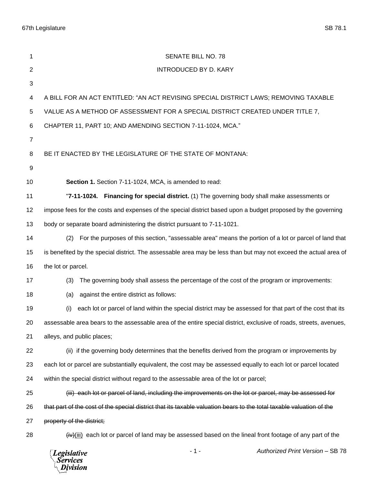67th Legislature SB 78.1

| 1              | SENATE BILL NO. 78                                                                                                      |
|----------------|-------------------------------------------------------------------------------------------------------------------------|
| $\overline{2}$ | <b>INTRODUCED BY D. KARY</b>                                                                                            |
| 3              |                                                                                                                         |
|                |                                                                                                                         |
| 4              | A BILL FOR AN ACT ENTITLED: "AN ACT REVISING SPECIAL DISTRICT LAWS; REMOVING TAXABLE                                    |
| 5              | VALUE AS A METHOD OF ASSESSMENT FOR A SPECIAL DISTRICT CREATED UNDER TITLE 7,                                           |
| 6              | CHAPTER 11, PART 10; AND AMENDING SECTION 7-11-1024, MCA."                                                              |
| $\overline{7}$ |                                                                                                                         |
| 8              | BE IT ENACTED BY THE LEGISLATURE OF THE STATE OF MONTANA:                                                               |
| 9              |                                                                                                                         |
| 10             | Section 1. Section 7-11-1024, MCA, is amended to read:                                                                  |
| 11             | "7-11-1024. Financing for special district. (1) The governing body shall make assessments or                            |
| 12             | impose fees for the costs and expenses of the special district based upon a budget proposed by the governing            |
| 13             | body or separate board administering the district pursuant to 7-11-1021.                                                |
| 14             | (2) For the purposes of this section, "assessable area" means the portion of a lot or parcel of land that               |
| 15             | is benefited by the special district. The assessable area may be less than but may not exceed the actual area of        |
| 16             | the lot or parcel.                                                                                                      |
| 17             | The governing body shall assess the percentage of the cost of the program or improvements:<br>(3)                       |
| 18             | against the entire district as follows:<br>(a)                                                                          |
| 19             | (i)<br>each lot or parcel of land within the special district may be assessed for that part of the cost that its        |
| 20             | assessable area bears to the assessable area of the entire special district, exclusive of roads, streets, avenues,      |
| 21             | alleys, and public places;                                                                                              |
| 22             | (ii) if the governing body determines that the benefits derived from the program or improvements by                     |
| 23             | each lot or parcel are substantially equivalent, the cost may be assessed equally to each lot or parcel located         |
| 24             | within the special district without regard to the assessable area of the lot or parcel;                                 |
| 25             | (iii) each lot or parcel of land, including the improvements on the lot or parcel, may be assessed for                  |
| 26             | that part of the cost of the special district that its taxable valuation bears to the total taxable valuation of the    |
| 27             | property of the district;                                                                                               |
| 28             | $\frac{div}{div}$ (iii) each lot or parcel of land may be assessed based on the lineal front footage of any part of the |
|                | Authorized Print Version - SB 78<br>$-1-$<br><b>Legislative</b><br><b>Services</b><br>Division                          |